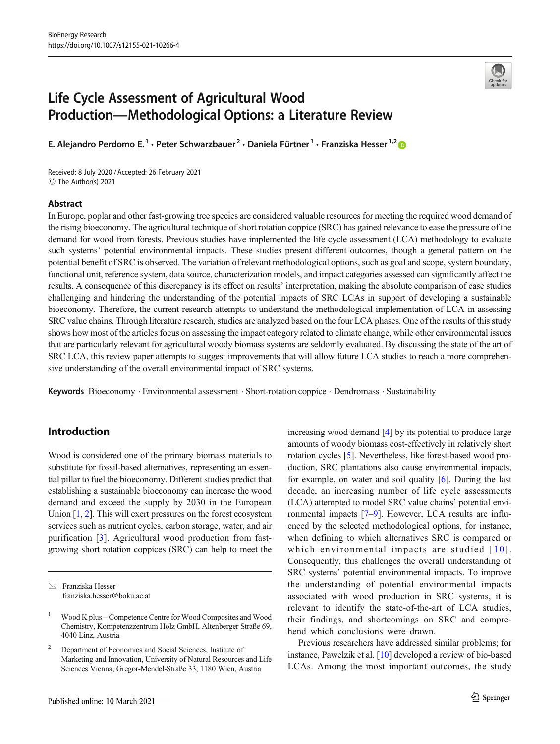

# Life Cycle Assessment of Agricultural Wood Production—Methodological Options: a Literature Review

E. Alejandro Perdomo E.<sup>1</sup> · Peter Schwarzbauer<sup>2</sup> · Daniela Fürtner<sup>1</sup> · Franziska Hesser<sup>1,2</sup>

Received: 8 July 2020 /Accepted: 26 February 2021 C The Author(s) 2021

## Abstract

In Europe, poplar and other fast-growing tree species are considered valuable resources for meeting the required wood demand of the rising bioeconomy. The agricultural technique of short rotation coppice (SRC) has gained relevance to ease the pressure of the demand for wood from forests. Previous studies have implemented the life cycle assessment (LCA) methodology to evaluate such systems' potential environmental impacts. These studies present different outcomes, though a general pattern on the potential benefit of SRC is observed. The variation of relevant methodological options, such as goal and scope, system boundary, functional unit, reference system, data source, characterization models, and impact categories assessed can significantly affect the results. A consequence of this discrepancy is its effect on results' interpretation, making the absolute comparison of case studies challenging and hindering the understanding of the potential impacts of SRC LCAs in support of developing a sustainable bioeconomy. Therefore, the current research attempts to understand the methodological implementation of LCA in assessing SRC value chains. Through literature research, studies are analyzed based on the four LCA phases. One of the results of this study shows how most of the articles focus on assessing the impact category related to climate change, while other environmental issues that are particularly relevant for agricultural woody biomass systems are seldomly evaluated. By discussing the state of the art of SRC LCA, this review paper attempts to suggest improvements that will allow future LCA studies to reach a more comprehensive understanding of the overall environmental impact of SRC systems.

Keywords Bioeconomy . Environmental assessment . Short-rotation coppice . Dendromass . Sustainability

# Introduction

Wood is considered one of the primary biomass materials to substitute for fossil-based alternatives, representing an essential pillar to fuel the bioeconomy. Different studies predict that establishing a sustainable bioeconomy can increase the wood demand and exceed the supply by 2030 in the European Union [[1,](#page-15-0) [2](#page-15-0)]. This will exert pressures on the forest ecosystem services such as nutrient cycles, carbon storage, water, and air purification [\[3\]](#page-15-0). Agricultural wood production from fastgrowing short rotation coppices (SRC) can help to meet the increasing wood demand [[4](#page-15-0)] by its potential to produce large amounts of woody biomass cost-effectively in relatively short rotation cycles [[5\]](#page-15-0). Nevertheless, like forest-based wood production, SRC plantations also cause environmental impacts, for example, on water and soil quality [\[6](#page-15-0)]. During the last decade, an increasing number of life cycle assessments (LCA) attempted to model SRC value chains' potential environmental impacts [\[7](#page-16-0)–[9](#page-16-0)]. However, LCA results are influenced by the selected methodological options, for instance, when defining to which alternatives SRC is compared or which environmental impacts are studied  $[10]$ . Consequently, this challenges the overall understanding of SRC systems' potential environmental impacts. To improve the understanding of potential environmental impacts associated with wood production in SRC systems, it is relevant to identify the state-of-the-art of LCA studies, their findings, and shortcomings on SRC and comprehend which conclusions were drawn.

Previous researchers have addressed similar problems; for instance, Pawelzik et al. [[10\]](#page-16-0) developed a review of bio-based LCAs. Among the most important outcomes, the study

 $\boxtimes$  Franziska Hesser [franziska.hesser@boku.ac.at](mailto:franziska.hesser@boku.ac.at)

<sup>1</sup> Wood K plus – Competence Centre for Wood Composites and Wood Chemistry, Kompetenzzentrum Holz GmbH, Altenberger Straße 69, 4040 Linz, Austria

<sup>2</sup> Department of Economics and Social Sciences, Institute of Marketing and Innovation, University of Natural Resources and Life Sciences Vienna, Gregor-Mendel-Straße 33, 1180 Wien, Austria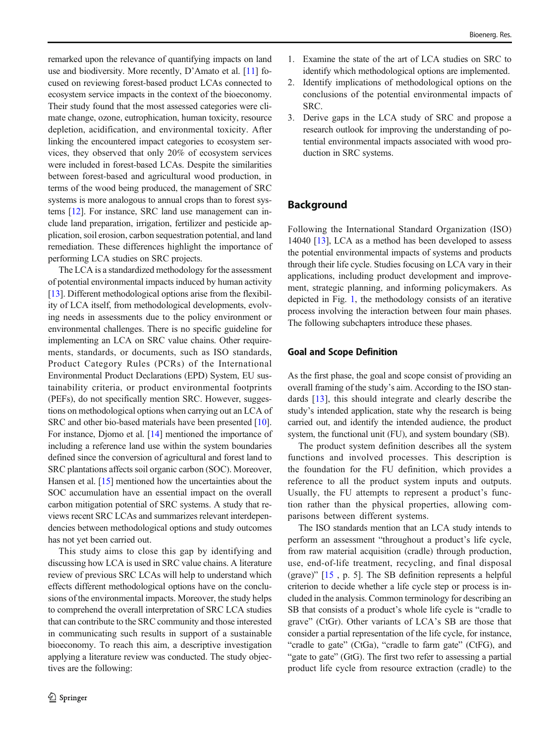remarked upon the relevance of quantifying impacts on land use and biodiversity. More recently, D'Amato et al. [[11\]](#page-16-0) focused on reviewing forest-based product LCAs connected to ecosystem service impacts in the context of the bioeconomy. Their study found that the most assessed categories were climate change, ozone, eutrophication, human toxicity, resource depletion, acidification, and environmental toxicity. After linking the encountered impact categories to ecosystem services, they observed that only 20% of ecosystem services were included in forest-based LCAs. Despite the similarities between forest-based and agricultural wood production, in terms of the wood being produced, the management of SRC systems is more analogous to annual crops than to forest systems [\[12\]](#page-16-0). For instance, SRC land use management can include land preparation, irrigation, fertilizer and pesticide application, soil erosion, carbon sequestration potential, and land remediation. These differences highlight the importance of performing LCA studies on SRC projects.

The LCA is a standardized methodology for the assessment of potential environmental impacts induced by human activity [\[13\]](#page-16-0). Different methodological options arise from the flexibility of LCA itself, from methodological developments, evolving needs in assessments due to the policy environment or environmental challenges. There is no specific guideline for implementing an LCA on SRC value chains. Other requirements, standards, or documents, such as ISO standards, Product Category Rules (PCRs) of the International Environmental Product Declarations (EPD) System, EU sustainability criteria, or product environmental footprints (PEFs), do not specifically mention SRC. However, suggestions on methodological options when carrying out an LCA of SRC and other bio-based materials have been presented [[10\]](#page-16-0). For instance, Djomo et al. [[14\]](#page-16-0) mentioned the importance of including a reference land use within the system boundaries defined since the conversion of agricultural and forest land to SRC plantations affects soil organic carbon (SOC). Moreover, Hansen et al. [[15](#page-16-0)] mentioned how the uncertainties about the SOC accumulation have an essential impact on the overall carbon mitigation potential of SRC systems. A study that reviews recent SRC LCAs and summarizes relevant interdependencies between methodological options and study outcomes has not yet been carried out.

This study aims to close this gap by identifying and discussing how LCA is used in SRC value chains. A literature review of previous SRC LCAs will help to understand which effects different methodological options have on the conclusions of the environmental impacts. Moreover, the study helps to comprehend the overall interpretation of SRC LCA studies that can contribute to the SRC community and those interested in communicating such results in support of a sustainable bioeconomy. To reach this aim, a descriptive investigation applying a literature review was conducted. The study objectives are the following:

- 1. Examine the state of the art of LCA studies on SRC to identify which methodological options are implemented.
- 2. Identify implications of methodological options on the conclusions of the potential environmental impacts of SRC.
- 3. Derive gaps in the LCA study of SRC and propose a research outlook for improving the understanding of potential environmental impacts associated with wood production in SRC systems.

# **Background**

Following the International Standard Organization (ISO) 14040 [\[13\]](#page-16-0), LCA as a method has been developed to assess the potential environmental impacts of systems and products through their life cycle. Studies focusing on LCA vary in their applications, including product development and improvement, strategic planning, and informing policymakers. As depicted in Fig. [1,](#page-2-0) the methodology consists of an iterative process involving the interaction between four main phases. The following subchapters introduce these phases.

## Goal and Scope Definition

As the first phase, the goal and scope consist of providing an overall framing of the study's aim. According to the ISO standards [\[13\]](#page-16-0), this should integrate and clearly describe the study's intended application, state why the research is being carried out, and identify the intended audience, the product system, the functional unit (FU), and system boundary (SB).

The product system definition describes all the system functions and involved processes. This description is the foundation for the FU definition, which provides a reference to all the product system inputs and outputs. Usually, the FU attempts to represent a product's function rather than the physical properties, allowing comparisons between different systems.

The ISO standards mention that an LCA study intends to perform an assessment "throughout a product's life cycle, from raw material acquisition (cradle) through production, use, end-of-life treatment, recycling, and final disposal (grave)" [\[15](#page-16-0) , p. 5]. The SB definition represents a helpful criterion to decide whether a life cycle step or process is included in the analysis. Common terminology for describing an SB that consists of a product's whole life cycle is "cradle to grave" (CtGr). Other variants of LCA's SB are those that consider a partial representation of the life cycle, for instance, "cradle to gate" (CtGa), "cradle to farm gate" (CtFG), and "gate to gate" (GtG). The first two refer to assessing a partial product life cycle from resource extraction (cradle) to the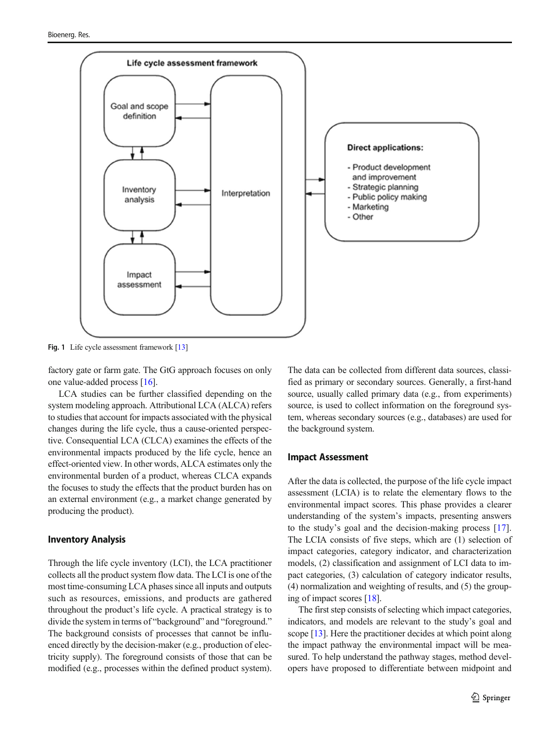<span id="page-2-0"></span>

Fig. 1 Life cycle assessment framework [\[13](#page-16-0)]

factory gate or farm gate. The GtG approach focuses on only one value-added process [\[16](#page-16-0)].

LCA studies can be further classified depending on the system modeling approach. Attributional LCA (ALCA) refers to studies that account for impacts associated with the physical changes during the life cycle, thus a cause-oriented perspective. Consequential LCA (CLCA) examines the effects of the environmental impacts produced by the life cycle, hence an effect-oriented view. In other words, ALCA estimates only the environmental burden of a product, whereas CLCA expands the focuses to study the effects that the product burden has on an external environment (e.g., a market change generated by producing the product).

## Inventory Analysis

Through the life cycle inventory (LCI), the LCA practitioner collects all the product system flow data. The LCI is one of the most time-consuming LCA phases since all inputs and outputs such as resources, emissions, and products are gathered throughout the product's life cycle. A practical strategy is to divide the system in terms of "background" and "foreground." The background consists of processes that cannot be influenced directly by the decision-maker (e.g., production of electricity supply). The foreground consists of those that can be modified (e.g., processes within the defined product system).

The data can be collected from different data sources, classified as primary or secondary sources. Generally, a first-hand source, usually called primary data (e.g., from experiments) source, is used to collect information on the foreground system, whereas secondary sources (e.g., databases) are used for the background system.

#### Impact Assessment

After the data is collected, the purpose of the life cycle impact assessment (LCIA) is to relate the elementary flows to the environmental impact scores. This phase provides a clearer understanding of the system's impacts, presenting answers to the study's goal and the decision-making process [\[17](#page-16-0)]. The LCIA consists of five steps, which are (1) selection of impact categories, category indicator, and characterization models, (2) classification and assignment of LCI data to impact categories, (3) calculation of category indicator results, (4) normalization and weighting of results, and (5) the grouping of impact scores [[18](#page-16-0)].

The first step consists of selecting which impact categories, indicators, and models are relevant to the study's goal and scope [[13\]](#page-16-0). Here the practitioner decides at which point along the impact pathway the environmental impact will be measured. To help understand the pathway stages, method developers have proposed to differentiate between midpoint and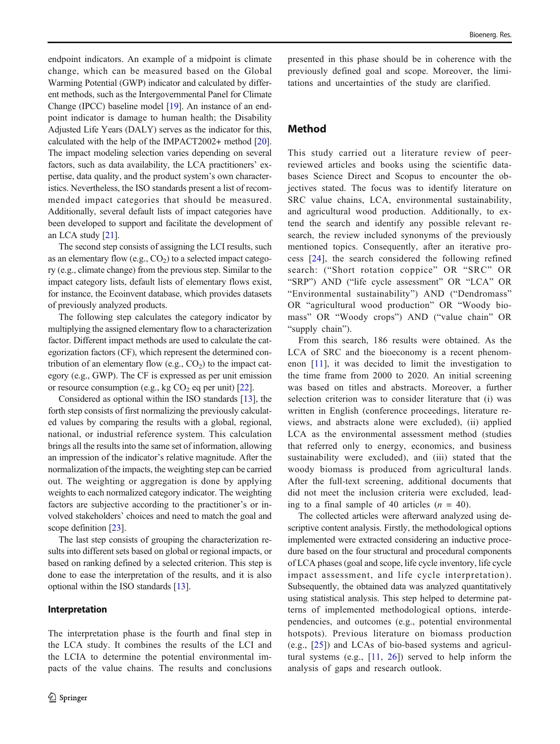endpoint indicators. An example of a midpoint is climate change, which can be measured based on the Global Warming Potential (GWP) indicator and calculated by different methods, such as the Intergovernmental Panel for Climate Change (IPCC) baseline model [\[19\]](#page-16-0). An instance of an endpoint indicator is damage to human health; the Disability Adjusted Life Years (DALY) serves as the indicator for this, calculated with the help of the IMPACT2002+ method [[20\]](#page-16-0). The impact modeling selection varies depending on several factors, such as data availability, the LCA practitioners' expertise, data quality, and the product system's own characteristics. Nevertheless, the ISO standards present a list of recommended impact categories that should be measured. Additionally, several default lists of impact categories have been developed to support and facilitate the development of an LCA study [\[21\]](#page-16-0).

The second step consists of assigning the LCI results, such as an elementary flow  $(e.g., CO<sub>2</sub>)$  to a selected impact category (e.g., climate change) from the previous step. Similar to the impact category lists, default lists of elementary flows exist, for instance, the Ecoinvent database, which provides datasets of previously analyzed products.

The following step calculates the category indicator by multiplying the assigned elementary flow to a characterization factor. Different impact methods are used to calculate the categorization factors (CF), which represent the determined contribution of an elementary flow (e.g.,  $CO<sub>2</sub>$ ) to the impact category (e.g., GWP). The CF is expressed as per unit emission or resource consumption (e.g., kg  $CO<sub>2</sub>$  eq per unit) [\[22\]](#page-16-0).

Considered as optional within the ISO standards [\[13\]](#page-16-0), the forth step consists of first normalizing the previously calculated values by comparing the results with a global, regional, national, or industrial reference system. This calculation brings all the results into the same set of information, allowing an impression of the indicator's relative magnitude. After the normalization of the impacts, the weighting step can be carried out. The weighting or aggregation is done by applying weights to each normalized category indicator. The weighting factors are subjective according to the practitioner's or involved stakeholders' choices and need to match the goal and scope definition [\[23\]](#page-16-0).

The last step consists of grouping the characterization results into different sets based on global or regional impacts, or based on ranking defined by a selected criterion. This step is done to ease the interpretation of the results, and it is also optional within the ISO standards [[13\]](#page-16-0).

## Interpretation

The interpretation phase is the fourth and final step in the LCA study. It combines the results of the LCI and the LCIA to determine the potential environmental impacts of the value chains. The results and conclusions

presented in this phase should be in coherence with the previously defined goal and scope. Moreover, the limitations and uncertainties of the study are clarified.

# Method

This study carried out a literature review of peerreviewed articles and books using the scientific databases Science Direct and Scopus to encounter the objectives stated. The focus was to identify literature on SRC value chains, LCA, environmental sustainability, and agricultural wood production. Additionally, to extend the search and identify any possible relevant research, the review included synonyms of the previously mentioned topics. Consequently, after an iterative process [[24](#page-16-0)], the search considered the following refined search: ("Short rotation coppice" OR "SRC" OR "SRP") AND ("life cycle assessment" OR "LCA" OR "Environmental sustainability") AND ("Dendromass" OR "agricultural wood production" OR "Woody biomass" OR "Woody crops") AND ("value chain" OR "supply chain").

From this search, 186 results were obtained. As the LCA of SRC and the bioeconomy is a recent phenomenon [\[11\]](#page-16-0), it was decided to limit the investigation to the time frame from 2000 to 2020. An initial screening was based on titles and abstracts. Moreover, a further selection criterion was to consider literature that (i) was written in English (conference proceedings, literature reviews, and abstracts alone were excluded), (ii) applied LCA as the environmental assessment method (studies that referred only to energy, economics, and business sustainability were excluded), and (iii) stated that the woody biomass is produced from agricultural lands. After the full-text screening, additional documents that did not meet the inclusion criteria were excluded, leading to a final sample of 40 articles  $(n = 40)$ .

The collected articles were afterward analyzed using descriptive content analysis. Firstly, the methodological options implemented were extracted considering an inductive procedure based on the four structural and procedural components of LCA phases (goal and scope, life cycle inventory, life cycle impact assessment, and life cycle interpretation). Subsequently, the obtained data was analyzed quantitatively using statistical analysis. This step helped to determine patterns of implemented methodological options, interdependencies, and outcomes (e.g., potential environmental hotspots). Previous literature on biomass production (e.g., [\[25](#page-16-0)]) and LCAs of bio-based systems and agricultural systems (e.g., [[11](#page-16-0), [26\]](#page-16-0)) served to help inform the analysis of gaps and research outlook.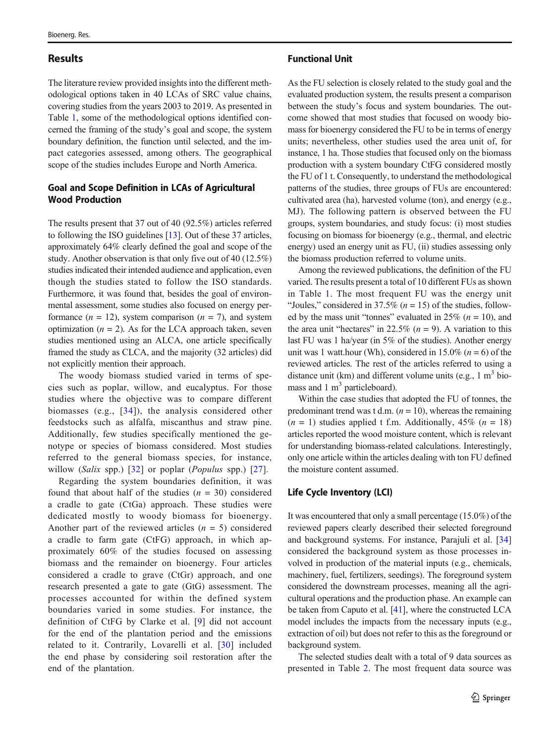## Results

The literature review provided insights into the different methodological options taken in 40 LCAs of SRC value chains, covering studies from the years 2003 to 2019. As presented in Table [1](#page-5-0), some of the methodological options identified concerned the framing of the study's goal and scope, the system boundary definition, the function until selected, and the impact categories assessed, among others. The geographical scope of the studies includes Europe and North America.

## Goal and Scope Definition in LCAs of Agricultural Wood Production

The results present that 37 out of 40 (92.5%) articles referred to following the ISO guidelines [\[13\]](#page-16-0). Out of these 37 articles, approximately 64% clearly defined the goal and scope of the study. Another observation is that only five out of 40 (12.5%) studies indicated their intended audience and application, even though the studies stated to follow the ISO standards. Furthermore, it was found that, besides the goal of environmental assessment, some studies also focused on energy performance  $(n = 12)$ , system comparison  $(n = 7)$ , and system optimization  $(n = 2)$ . As for the LCA approach taken, seven studies mentioned using an ALCA, one article specifically framed the study as CLCA, and the majority (32 articles) did not explicitly mention their approach.

The woody biomass studied varied in terms of species such as poplar, willow, and eucalyptus. For those studies where the objective was to compare different biomasses (e.g., [[34\]](#page-16-0)), the analysis considered other feedstocks such as alfalfa, miscanthus and straw pine. Additionally, few studies specifically mentioned the genotype or species of biomass considered. Most studies referred to the general biomass species, for instance, willow (Salix spp.)  $[32]$  or poplar (*Populus* spp.)  $[27]$  $[27]$ .

Regarding the system boundaries definition, it was found that about half of the studies  $(n = 30)$  considered a cradle to gate (CtGa) approach. These studies were dedicated mostly to woody biomass for bioenergy. Another part of the reviewed articles  $(n = 5)$  considered a cradle to farm gate (CtFG) approach, in which approximately 60% of the studies focused on assessing biomass and the remainder on bioenergy. Four articles considered a cradle to grave (CtGr) approach, and one research presented a gate to gate (GtG) assessment. The processes accounted for within the defined system boundaries varied in some studies. For instance, the definition of CtFG by Clarke et al. [[9](#page-16-0)] did not account for the end of the plantation period and the emissions related to it. Contrarily, Lovarelli et al. [\[30](#page-16-0)] included the end phase by considering soil restoration after the end of the plantation.

#### Functional Unit

As the FU selection is closely related to the study goal and the evaluated production system, the results present a comparison between the study's focus and system boundaries. The outcome showed that most studies that focused on woody biomass for bioenergy considered the FU to be in terms of energy units; nevertheless, other studies used the area unit of, for instance, 1 ha. Those studies that focused only on the biomass production with a system boundary CtFG considered mostly the FU of 1 t. Consequently, to understand the methodological patterns of the studies, three groups of FUs are encountered: cultivated area (ha), harvested volume (ton), and energy (e.g., MJ). The following pattern is observed between the FU groups, system boundaries, and study focus: (i) most studies focusing on biomass for bioenergy (e.g., thermal, and electric energy) used an energy unit as FU, (ii) studies assessing only the biomass production referred to volume units.

Among the reviewed publications, the definition of the FU varied. The results present a total of 10 different FUs as shown in Table [1](#page-5-0). The most frequent FU was the energy unit "Joules," considered in 37.5% ( $n = 15$ ) of the studies, followed by the mass unit "tonnes" evaluated in 25% ( $n = 10$ ), and the area unit "hectares" in 22.5% ( $n = 9$ ). A variation to this last FU was 1 ha/year (in 5% of the studies). Another energy unit was 1 watt.hour (Wh), considered in 15.0% ( $n = 6$ ) of the reviewed articles. The rest of the articles referred to using a distance unit (km) and different volume units (e.g.,  $1 \text{ m}^3$  biomass and  $1 \text{ m}^3$  particleboard).

Within the case studies that adopted the FU of tonnes, the predominant trend was t d.m.  $(n = 10)$ , whereas the remaining  $(n = 1)$  studies applied t f.m. Additionally, 45%  $(n = 18)$ articles reported the wood moisture content, which is relevant for understanding biomass-related calculations. Interestingly, only one article within the articles dealing with ton FU defined the moisture content assumed.

## Life Cycle Inventory (LCI)

It was encountered that only a small percentage (15.0%) of the reviewed papers clearly described their selected foreground and background systems. For instance, Parajuli et al. [\[34](#page-16-0)] considered the background system as those processes involved in production of the material inputs (e.g., chemicals, machinery, fuel, fertilizers, seedings). The foreground system considered the downstream processes, meaning all the agricultural operations and the production phase. An example can be taken from Caputo et al. [[41](#page-17-0)], where the constructed LCA model includes the impacts from the necessary inputs (e.g., extraction of oil) but does not refer to this as the foreground or background system.

The selected studies dealt with a total of 9 data sources as presented in Table [2.](#page-10-0) The most frequent data source was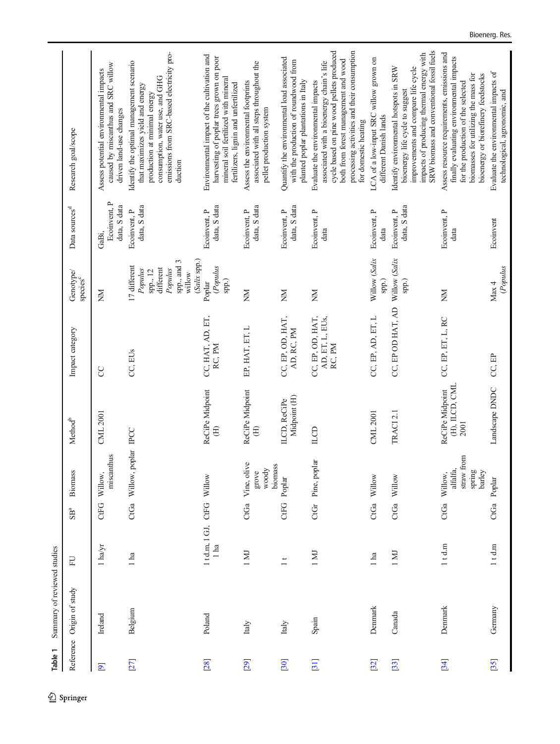Table 1 Summary of reviewed studies Table 1 Summary of reviewed studies

<span id="page-5-0"></span>

|           | Reference Origin of study | FU                       | $\mathrm{SB}^\mathrm{a}$ | <b>Biomass</b>                                             | Method <sup>b</sup>                       | Impact category                               | Genotype/<br>species <sup>c</sup>                                                                      | Data sources <sup>d</sup>             | Research goal/scope                                                                                                                                                                                                                        |
|-----------|---------------------------|--------------------------|--------------------------|------------------------------------------------------------|-------------------------------------------|-----------------------------------------------|--------------------------------------------------------------------------------------------------------|---------------------------------------|--------------------------------------------------------------------------------------------------------------------------------------------------------------------------------------------------------------------------------------------|
| $\bullet$ | Ireland                   | $1$ ha/yr                |                          | miscanthus<br>CtFG Willow,                                 | CML 2001                                  | <b>CC</b>                                     | MN                                                                                                     | Ecoinvent, P<br>data, S data<br>GaBi, | caused by miscanthus and SRC willow<br>Assess potential environmental impacts<br>driven land-use changes                                                                                                                                   |
| $[27]$    | Belgium                   | l ha                     |                          | CtGa Willow, poplar IPCC                                   |                                           | CC, EUs                                       | $(Salix$ spp.)<br>spp., and 3<br>17 different<br>different<br>Populus<br>Populus<br>spp., 12<br>willow | data, S data<br>Ecoinvent, P          | emissions from SRC-based electricity pro-<br>Identify the optimal management scenario<br>consumption, water use, and GHG<br>that maximizes yield and energy<br>production at minimal energy<br>duction                                     |
| [28]      | Poland                    | 1td.m, 1GJ, CtFG Willow  |                          |                                                            | ReCiPe Midpoint                           | CC, HAT, AD, ET,<br>RC, PM                    | (Populus<br>Poplar<br>spp.)                                                                            | data, S data<br>Ecoinvent, P          | Environmental impact of the cultivation and<br>harvesting of poplar trees grown on poor<br>mineral soil fertilized with mineral<br>fertilizers, lignin and unfertilized                                                                    |
| [29]      | Italy                     | 1 MJ                     | CtGa                     | Vine, olive<br>biomass<br>woody<br>grove                   | ReCiPe Midpoint<br>$\oplus$               | EP, HAT, ET, L                                | M                                                                                                      | data, S data<br>Ecoinvent, P          | associated with all steps throughout the<br>Assess the environmental footprints<br>pellet production system                                                                                                                                |
| [30]      | Italy                     | $\overline{\phantom{0}}$ | <b>CtFG</b>              | Poplar                                                     | Midpoint (H)<br>ILCD, ReCiPe              | CC, EP, OD, HAT,<br>AD, RC, PM                | Ř                                                                                                      | data, S data<br>Ecoinvent, P          | Quantify the environmental load associated<br>with the production of roundwood from<br>planted poplar plantations in Italy                                                                                                                 |
| [31]      | Spain                     | 1 M                      |                          | CtGr Pine, poplar                                          | ILCD                                      | CC, EP, OD, HAT,<br>AD, ET, L, EUs,<br>RC, PM | Ř                                                                                                      | Ecoinvent, P<br>data                  | cycle based on pine wood pellets produced<br>processing activities and their consumption<br>both from forest management and wood<br>associated with a bioenergy chain's life<br>Evaluate the environmental impacts<br>for domestic heating |
| [32]      | Denmark                   | l ha                     |                          | CtGa Willow                                                | <b>CML 2001</b>                           | CC, EP, AD, ET, L                             | Willow (Salix<br>spp.)                                                                                 | Ecoinvent, P<br>data                  | LCA of a low-input SRC willow grown on<br>different Danish lands                                                                                                                                                                           |
| [33]      | Canada                    | 1 MJ                     | CtGa                     | Willow                                                     | TRACI 2.1                                 | CC, EP OD HAT, AD                             | Willow (Salix<br>spp.)                                                                                 | data, S data<br>Ecoinvent, P          | SRW biomass and conventional fossil fuels<br>impacts of producing thermal energy with<br>improvements and compare life cycle<br>Identify environmental hotspots in SRW<br>bioenergy life cycle to suggest                                  |
| $[34]$    | Denmark                   | $1$ t d.m                |                          | straw from<br>alfalfa,<br>spring<br>barley<br>CtGa Willow, | (H), ILCD, CML<br>ReCiPe Midpoint<br>2001 | CC, EP, ET, L, RC                             | M                                                                                                      | Ecoinvent, P<br>data                  | Assess resource requirements, emissions and<br>finally evaluating environmental impacts<br>biomasses for utilizing the mass for<br>bioenergy or biorefinery feedstocks<br>for the production of the selected                               |
| $[35]$    | Germany                   | $1$ t d.m                |                          | CtGa Poplar                                                | Landscape DNDC                            | CC, EP                                        | (Populus<br>Max 4                                                                                      | Ecoinvent                             | Evaluate the environmental impacts of<br>technological, agronomic, and                                                                                                                                                                     |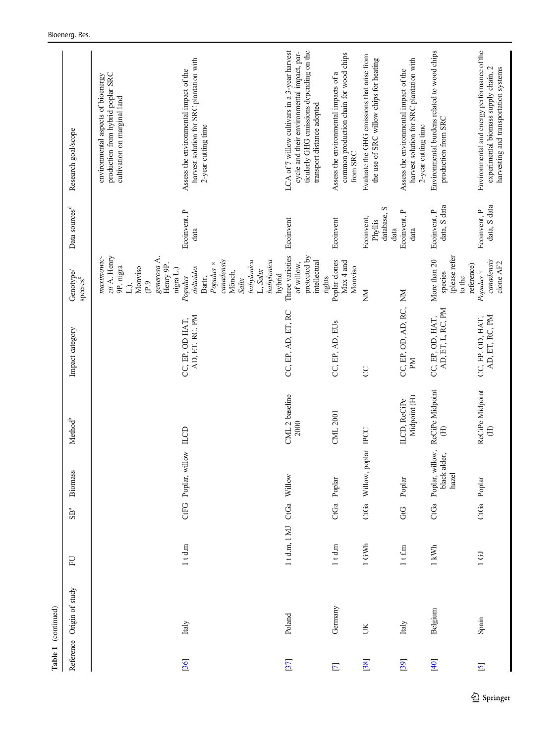|                         | Table 1 (continued)       |                     |                 |                                               |                              |                                       |                                                                                                                                             |                                              |                                                                                                                                                                       |
|-------------------------|---------------------------|---------------------|-----------------|-----------------------------------------------|------------------------------|---------------------------------------|---------------------------------------------------------------------------------------------------------------------------------------------|----------------------------------------------|-----------------------------------------------------------------------------------------------------------------------------------------------------------------------|
|                         | Reference Origin of study | EU                  | SB <sup>a</sup> | Biomass                                       | Method <sup>b</sup>          | Impact category                       | Genotype/<br>species <sup>c</sup>                                                                                                           | Data sources <sup>d</sup>                    | Research goal/scope                                                                                                                                                   |
|                         |                           |                     |                 |                                               |                              |                                       | zii A. Henry<br>maximowic-<br>generosa A.<br>Henry 9P.<br>9P. nigra<br>Monviso<br>P.9<br>$\Box$                                             |                                              | production from hybrid poplar SRC<br>environmental aspects of bioenergy<br>cultivation on marginal land                                                               |
| [36]                    | Italy                     | $1$ t d.m           |                 | CtFG Poplar, willow ILCD                      |                              | AD, ET, RC, PM<br>CC, EP, OD HAT,     | canadensis<br>babylonica<br>babylonica<br>Populus ×<br>deltoides<br>nigra L.)<br>L, Salix<br>Mönch,<br>hybrid<br>Populus<br>Bartr,<br>Salix | Ecoinvent, P<br>data                         | harvest solution for SRC plantation with<br>Assess the environmental impact of the<br>2-year cutting time                                                             |
| $[37]$                  | Poland                    | 1td.m, 1MJ          |                 | CtGa Willow                                   | CML 2 baseline<br>2000       | CC, EP, AD, ET, RC                    | Three varieties<br>protected by<br>intellectual<br>of willow,<br>rights                                                                     | Ecoinvent                                    | ticularly GHG emissions depending on the<br>LCA of 7 willow cultivars in a 3-year harvest<br>cycle and their environmental impact, par-<br>transport distance adopted |
| $\overline{\mathbf{r}}$ | Germany                   | $1$ t d.m           |                 | CtGa Poplar                                   | CML 2001                     | CC, EP, AD, EUs                       | Poplar clones<br>Max 4 and<br>Monviso                                                                                                       | Ecoinvent                                    | common production chain for wood chips<br>Assess the environmental impacts of a<br>from SRC                                                                           |
| [38]                    | UK                        | 1 GWh               |                 | CtGa Willow, poplar IPCC                      |                              | <b>CC</b>                             | MN                                                                                                                                          | database, S<br>Ecoinvent,<br>Phyllis<br>data | Evaluate the GHG emissions that arise from<br>the use of SRC willow chips for heating                                                                                 |
| [39]                    | Italy                     | $1$ t f.m           | GG              | Poplar                                        | Midpoint (H)<br>ILCD, ReCiPe | CC, EP, OD, AD, RC, NM<br>M           |                                                                                                                                             | Ecoinvent, P<br>data                         | harvest solution for SRC plantation with<br>Assess the environmental impact of the<br>2-year cutting time                                                             |
| [40]                    | Belgium                   | $1 \, \mathrm{kWh}$ |                 | CtGa Poplar, willow,<br>black alder,<br>hazel | ReCiPe Midpoint<br>$\oplus$  | AD, ET, L, RC, PM<br>CC, EP, OD, HAT, | (please refer<br>More than 20<br>reference)<br>species<br>to the                                                                            | data, S data<br>Ecoinvent, P                 | Environmental burdens related to wood chips<br>production from SRC                                                                                                    |
| $\overline{\mathbf{S}}$ | Spain                     | $1$ GJ              |                 | CtGa Poplar                                   | ReCiPe Midpoint<br>$\oplus$  | AD, ET, RC, PM<br>CC, EP, OD, HAT,    | canadensis<br>clone AF2<br>$Populus \times$                                                                                                 | data, S data<br>Ecoinvent, P                 | Environmental and energy performance of the<br>harvesting and transportation systems<br>experimental biomass supply chain, 2                                          |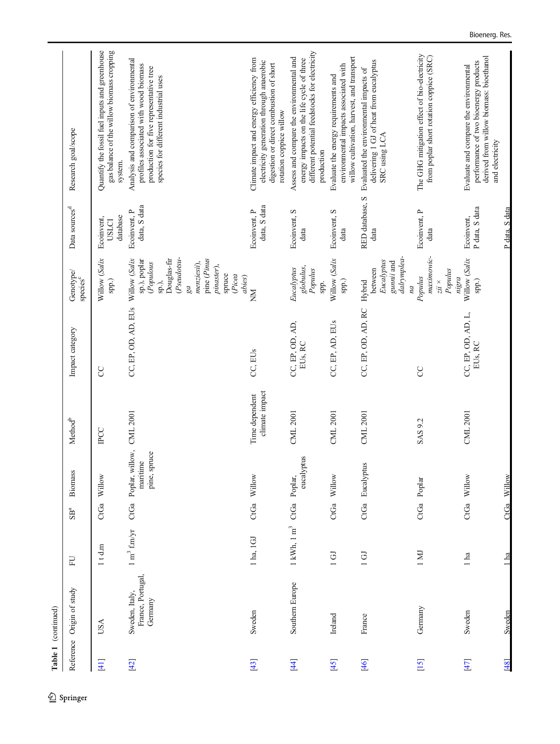| Table 1 (continued) |                                                |                                     |                          |                                                      |                                  |                               |                                                                                                                                                                 |                                        |                                                                                                                                                                       |
|---------------------|------------------------------------------------|-------------------------------------|--------------------------|------------------------------------------------------|----------------------------------|-------------------------------|-----------------------------------------------------------------------------------------------------------------------------------------------------------------|----------------------------------------|-----------------------------------------------------------------------------------------------------------------------------------------------------------------------|
|                     | Reference Origin of study                      | EU                                  | $\mathrm{SB}^\mathrm{a}$ | Biomass                                              | Method <sup>b</sup>              | Impact category               | Genotype/<br>species <sup>c</sup>                                                                                                                               | Data sources <sup>d</sup>              | Research goal/scope                                                                                                                                                   |
| $[41]$              | USA                                            | $1$ t d.m                           |                          | CtGa Willow                                          | <b>IPCC</b>                      | <b>CC</b>                     | Willow (Salix<br>spp.)                                                                                                                                          | database<br>Ecoinvent,<br><b>USLCI</b> | Quantify the fossil fuel inputs and greenhouse<br>gas balance of the willow biomass cropping<br>system.                                                               |
| $[42]$              | France, Portugal,<br>Sweden, Italy,<br>Germany | $1 \text{ m}^3$ f.m/yr              | CtGa                     | Poplar, willow, CML 2001<br>pine, spruce<br>maritime |                                  | CC, EP, OD, AD, EUs           | Pseudotsu<br>Douglas-fir<br>pine (Pinus<br>Willow (Salix<br>sp.), poplar<br>menziesii),<br>(Populous<br>pinaster),<br>spruce<br>(Picea<br>abies)<br>sp.),<br>ga | data, S data<br>Ecoinvent, P           | Analysis and comparison of environmental<br>profiles associated with wood biomass<br>production for five representative tree<br>species for different industrial uses |
| $[43]$              | Sweden                                         | 1 ha, 1 GJ                          | CtGa                     | Willow                                               | climate impact<br>Time dependent | CC, EUs                       | MN                                                                                                                                                              | data, S data<br>Ecoinvent, P           | Climate impact and energy efficiency from<br>electricity generation through anaerobic<br>digestion or direct combustion of short<br>rotation coppice willow           |
| $[4]$               | Southern Europe                                | $1\ \mathrm{kWh},\ 1\ \mathrm{m}^3$ |                          | eucalyptus<br>CtGa Poplar,                           | CML 2001                         | CC, EP, OD, AD,<br>EUs, RC    | globulus,<br>Eucalyptus<br>Populus<br>spp.                                                                                                                      | Ecoinvent, S<br>data                   | different potential feedstocks for electricity<br>Assess and compare the environmental and<br>energy impacts on the life cycle of three<br>production                 |
| [45]                | Ireland                                        | $1$ GJ                              |                          | CtGa Willow                                          | <b>CML 2001</b>                  | CC, EP, AD, EUs               | Willow (Salix<br>$\operatorname{sp}.$                                                                                                                           | Ecoinvent, S<br>data                   | willow cultivation, harvest, and transport<br>environmental impacts associated with<br>Evaluate the energy requirements and                                           |
| $[46]$              | France                                         | $1$ GJ                              | CtGa                     | Eucalyptus                                           | <b>CML 2001</b>                  | CC, EP, OD, AD, RC            | dalrymplea-<br>Eucalyptus<br>gunnii and<br>between<br>Hybrid<br>na                                                                                              | RED database, S<br>data                | delivering 1 GJ of heat from eucalyptus<br>Evaluated the environmental impacts of<br>SRC using LCA                                                                    |
| [15]                | Germany                                        | 1 MJ                                |                          | CtGa Poplar                                          | SAS 9.2                          | S                             | maximowic-<br>Populus<br>Populus<br>nigra<br>$zii$ $\times$                                                                                                     | Ecoinvent, P<br>data                   | The GHG mitigation effect of bio-electricity<br>from poplar short rotation coppice (SRC)                                                                              |
| $[47]$              | Sweden                                         | $1$ ha                              |                          | CtGa Willow                                          | CML 2001                         | CC, EP, OD, AD, L,<br>EUs, RC | Willow (Salix<br>spp.)                                                                                                                                          | P data, S data<br>Ecoinvent,           | derived from willow biomass: bioethanol<br>performance of two bioenergy products<br>Evaluate and compare the environmental<br>and electricity                         |
| [48]                | Sweden                                         | $\overline{\text{ha}}$              | CtGa                     | Willow                                               |                                  |                               |                                                                                                                                                                 | P data, S data                         |                                                                                                                                                                       |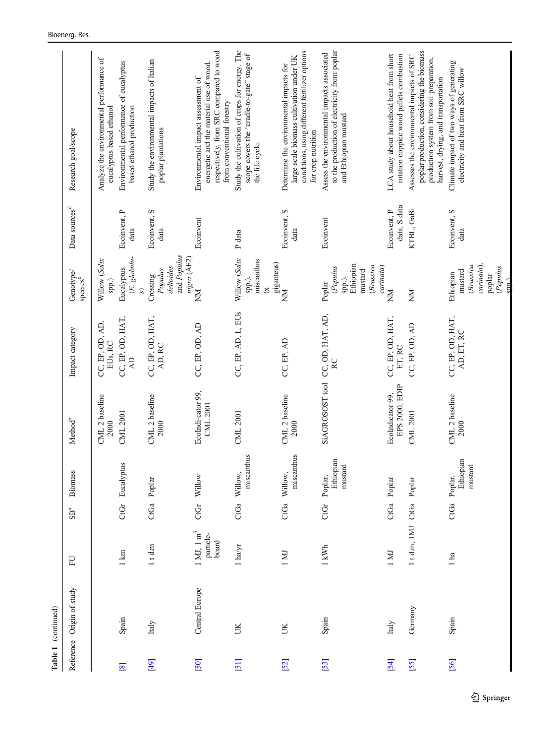|             | Table 1 (continued)       |                                                       |                 |                                         |                                    |                                         |                                                                                      |                              |                                                                                                                                                                            |
|-------------|---------------------------|-------------------------------------------------------|-----------------|-----------------------------------------|------------------------------------|-----------------------------------------|--------------------------------------------------------------------------------------|------------------------------|----------------------------------------------------------------------------------------------------------------------------------------------------------------------------|
|             | Reference Origin of study | EU                                                    | SB <sup>a</sup> | <b>Biomass</b>                          | Method <sup>b</sup>                | Impact category                         | Genotype/<br>species <sup>c</sup>                                                    | Data sources <sup>d</sup>    | Research goal/scope                                                                                                                                                        |
|             |                           |                                                       |                 |                                         | CML 2 baseline<br>2000             | CC, EP, OD, AD,<br>EUs, RC              | Willow (Salix<br>spp.)                                                               |                              | Analyze the environmental performance of<br>eucalyptus based ethanol                                                                                                       |
| $\boxed{8}$ | Spain                     | $1 \text{ km}$                                        | CtGr            | Eucalyptus                              | CML 2001                           | CC, EP, OD, HAT,<br>$\Delta \mathbf{D}$ | $(E.$ globulu-<br>Eucalyptus<br>$\mathcal{S}$                                        | Ecoinvent, P<br>data         | Environmental performance of eucalyptus<br>based ethanol production                                                                                                        |
| [49]        | Italy                     | $1$ t d.m                                             |                 | CtGa Poplar                             | CML 2 baseline<br>2000             | CC, EP, OD, HAT,<br>AD, RC              | and Populus<br>nigra (AF2)<br>deltoides<br>Populus<br>Crossing                       | Ecoinvent, S<br>data         | Study the environmental impacts of Italian<br>poplar plantations                                                                                                           |
| [50]        | Central Europe            | $1 \mathrm{MJ}, 1 \mathrm{m}^3$<br>particle-<br>board | CtGr            | Willow                                  | EcoIndi-cator 99,<br>CML 2001      | CC, EP, OD, AD                          | MN                                                                                   | Ecoinvent                    | respectively, from SRC compared to wood<br>energetic and the material use of wood,<br>Environmental impact assessment of<br>from conventional forestry                     |
| [51]        | UK                        | $1$ ha/yr $\,$                                        | CtGa            | miscanthus<br>Willow,                   | CML 2001                           | CC, EP, AD, L, EUs                      | Willow (Salix<br>miscanthus<br>spp.),<br>$\tilde{\mathbf{x}}$                        | P data                       | Study the cultivation of crops for energy. The<br>scope covers the "cradle-to-gate" stage of<br>the life cycle.                                                            |
| [52]        | UK                        | 1 MJ                                                  | CtGa            | miscanthus<br>Willow,                   | CML 2 baseline<br>2000             | CC, EP, AD                              | giganteus)<br>NM                                                                     | Ecoinvent, S<br>data         | conditions, using different fertilizer options<br>large-scale biomass cultivation under UK<br>Determine the environmental impacts for<br>for crop nutrition                |
| [53]        | Spain                     | 1 kWh                                                 | CtGr            | Ethiopian<br>${\rm mustard}$<br>Poplar, | SiAGROSOST tool                    | CC, OD, HAT, AD,<br>RC                  | Ethiopian<br>(Brassica<br>carinata)<br>(Populus<br>mustard<br>spp.),<br>Poplar       | Ecoinvent                    | to the production of electricity from poplar<br>Assess the environmental impacts associated<br>and Ethiopian mustard                                                       |
| [54]        | Italy                     | I MI                                                  |                 | CtGa Poplar                             | EPS 2000, EDIP<br>EcoIndicator 99, | CC, EP, OD, HAT,<br>ET, RC              | MN                                                                                   | data, S data<br>Ecoinvent, P | LCA study about household heat from short<br>rotation coppice wood pellets combustion                                                                                      |
| [55]        | Germany                   | 1td.m, IMJ CtGa                                       |                 | Poplar                                  | CML 2001                           | CC, EP, OD, AD                          | MX                                                                                   | KTBL, GaBi                   | poplar production, considering the biomass<br>Assesses the environmental impacts of SRC<br>production system from soil preparation,<br>harvest, drying, and transportation |
| [56]        | Spain                     | 1 ha                                                  |                 | Ethiopian<br>mustard<br>CtGa Poplar,    | CML 2 baseline<br>2000             | CC, EP, OD, HAT,<br>AD, ET, RC          | carinata),<br>(Brassica<br>(Populus<br>mustard<br>Ethiopian<br>poplar<br>$s$ and $l$ | Ecoinvent, S<br>data         | Climate impact of two ways of generating<br>electricity and heat from SRC willow                                                                                           |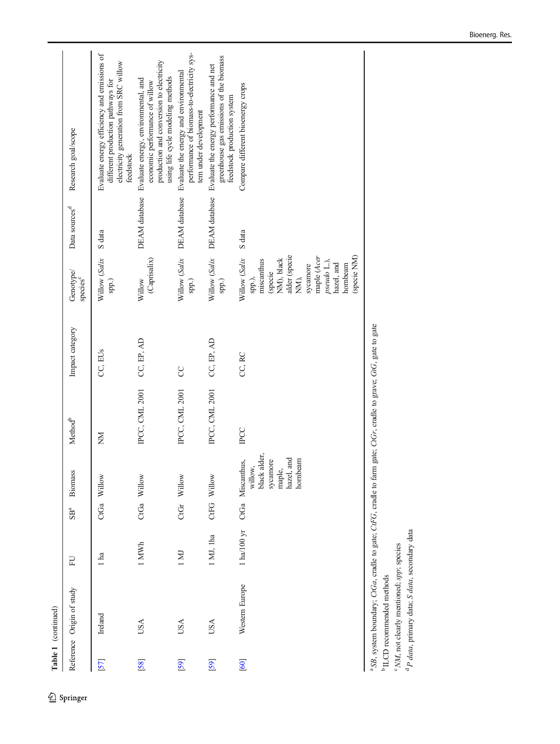Table 1 (continued) Table 1 (continued)

|      | Reference Origin of study | EU            | SB <sup>a</sup> | Biomass                                                                                    | Method <sup>b</sup>   | Impact category | Genotype/<br>species <sup>'</sup>                                                                                                                                          | Data sources <sup>d</sup>   | Research goal/scope                                                                                                                                    |
|------|---------------------------|---------------|-----------------|--------------------------------------------------------------------------------------------|-----------------------|-----------------|----------------------------------------------------------------------------------------------------------------------------------------------------------------------------|-----------------------------|--------------------------------------------------------------------------------------------------------------------------------------------------------|
| [57] | Ireland                   | 1 ha          |                 | CtGa Willow                                                                                | MX                    | CC, EUs         | Willow (Salix<br>spp.)                                                                                                                                                     | S data                      | Evaluate energy efficiency and emissions of<br>electricity generation from SRC willow<br>different production pathways for<br>feedstock                |
| [58] | USA                       | 1 MWh         |                 | CtGa Willow                                                                                | <b>IPCC, CML 2001</b> | CC, EP, AD      | (Caprisalix)<br>Willow                                                                                                                                                     | DEAM database               | production and conversion to electricity<br>using life cycle modeling methods<br>Evaluate energy, environmental, and<br>economic performance of willow |
| [59] | USA                       | 1 M           |                 | CtGr Willow                                                                                | <b>IPCC, CML 2001</b> | SC              | spp.)                                                                                                                                                                      | Willow (Salix DEAM database | performance of biomass-to-electricity sys-<br>Evaluate the energy and environmental<br>tem under development                                           |
| [59] | <b>USA</b>                | 1 MJ, 1ha     |                 | CtFG Willow                                                                                | <b>IPCC, CML 2001</b> | CC, EP, AD      | spp.)                                                                                                                                                                      | Willow (Salix DEAM database | greenhouse gas emissions of the biomass<br>Evaluate the energy performance and net<br>feedstock production system                                      |
| [60] | Western Europe            | $1$ ha/100 yr |                 | black alder,<br>hazel, and<br>hornbeam<br>sycamore<br>CtGa Miscanthus,<br>willow<br>maple, | <b>IPCC</b>           | CC, RC          | alder (specie<br>(specie NM)<br>Willow (Salix<br>maple (Acer<br>NM), black<br>miscanthus<br>pseudo L.),<br>hazel, and<br>sycamore<br>hornbeam<br>(specie<br>NM),<br>spp.), | S data                      | Compare different bioenergy crops                                                                                                                      |

b ILCD recommended methods

 $^{\rm b}\operatorname{ILCD}$  recommended methods

<sup>c</sup> NM, not clearly mentioned; spp; species  $\alpha$  MM, not clearly mentioned; spp; species<br> $\alpha$  P data, primary data; S data, secondary data <sup>a</sup> P data, primary data; S data, secondary data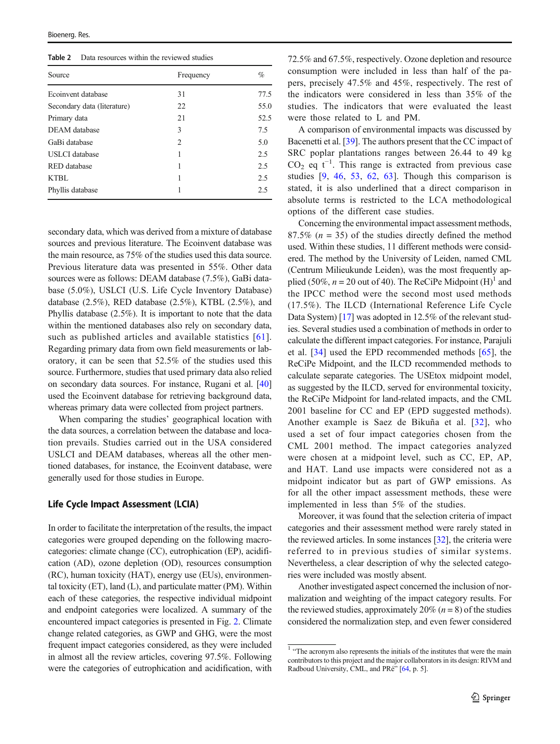<span id="page-10-0"></span>Table 2 Data resources within the reviewed studies

| Source                      | Frequency | $\%$ |
|-----------------------------|-----------|------|
| Ecoinvent database          | 31        | 77.5 |
| Secondary data (literature) | 22        | 55.0 |
| Primary data                | 21        | 52.5 |
| DEAM database               | 3         | 7.5  |
| GaBi database               | 2         | 5.0  |
| <b>USLCI</b> database       | 1         | 2.5  |
| <b>RED</b> database         | 1         | 2.5  |
| KTBL                        | 1         | 2.5  |
| Phyllis database            |           | 2.5  |

secondary data, which was derived from a mixture of database sources and previous literature. The Ecoinvent database was the main resource, as 75% of the studies used this data source. Previous literature data was presented in 55%. Other data sources were as follows: DEAM database (7.5%), GaBi database (5.0%), USLCI (U.S. Life Cycle Inventory Database) database (2.5%), RED database (2.5%), KTBL (2.5%), and Phyllis database (2.5%). It is important to note that the data within the mentioned databases also rely on secondary data, such as published articles and available statistics [[61](#page-17-0)]. Regarding primary data from own field measurements or laboratory, it can be seen that 52.5% of the studies used this source. Furthermore, studies that used primary data also relied on secondary data sources. For instance, Rugani et al. [\[40\]](#page-17-0) used the Ecoinvent database for retrieving background data, whereas primary data were collected from project partners.

When comparing the studies' geographical location with the data sources, a correlation between the database and location prevails. Studies carried out in the USA considered USLCI and DEAM databases, whereas all the other mentioned databases, for instance, the Ecoinvent database, were generally used for those studies in Europe.

#### Life Cycle Impact Assessment (LCIA)

In order to facilitate the interpretation of the results, the impact categories were grouped depending on the following macrocategories: climate change (CC), eutrophication (EP), acidification (AD), ozone depletion (OD), resources consumption (RC), human toxicity (HAT), energy use (EUs), environmental toxicity (ET), land (L), and particulate matter (PM). Within each of these categories, the respective individual midpoint and endpoint categories were localized. A summary of the encountered impact categories is presented in Fig. [2](#page-11-0). Climate change related categories, as GWP and GHG, were the most frequent impact categories considered, as they were included in almost all the review articles, covering 97.5%. Following were the categories of eutrophication and acidification, with

72.5% and 67.5%, respectively. Ozone depletion and resource consumption were included in less than half of the papers, precisely 47.5% and 45%, respectively. The rest of the indicators were considered in less than 35% of the studies. The indicators that were evaluated the least were those related to L and PM.

A comparison of environmental impacts was discussed by Bacenetti et al. [[39\]](#page-16-0). The authors present that the CC impact of SRC poplar plantations ranges between 26.44 to 49 kg  $CO<sub>2</sub>$  eq t<sup>-1</sup>. This range is extracted from previous case studies [[9,](#page-16-0) [46](#page-17-0), [53](#page-17-0), [62,](#page-17-0) [63\]](#page-17-0). Though this comparison is stated, it is also underlined that a direct comparison in absolute terms is restricted to the LCA methodological options of the different case studies.

Concerning the environmental impact assessment methods, 87.5%  $(n = 35)$  of the studies directly defined the method used. Within these studies, 11 different methods were considered. The method by the University of Leiden, named CML (Centrum Milieukunde Leiden), was the most frequently applied (50%,  $n = 20$  out of 40). The ReCiPe Midpoint (H)<sup>1</sup> and the IPCC method were the second most used methods (17.5%). The ILCD (International Reference Life Cycle Data System) [[17\]](#page-16-0) was adopted in 12.5% of the relevant studies. Several studies used a combination of methods in order to calculate the different impact categories. For instance, Parajuli et al. [[34\]](#page-16-0) used the EPD recommended methods [[65\]](#page-17-0), the ReCiPe Midpoint, and the ILCD recommended methods to calculate separate categories. The USEtox midpoint model, as suggested by the ILCD, served for environmental toxicity, the ReCiPe Midpoint for land-related impacts, and the CML 2001 baseline for CC and EP (EPD suggested methods). Another example is Saez de Bikuña et al. [[32](#page-16-0)], who used a set of four impact categories chosen from the CML 2001 method. The impact categories analyzed were chosen at a midpoint level, such as CC, EP, AP, and HAT. Land use impacts were considered not as a midpoint indicator but as part of GWP emissions. As for all the other impact assessment methods, these were implemented in less than 5% of the studies.

Moreover, it was found that the selection criteria of impact categories and their assessment method were rarely stated in the reviewed articles. In some instances [\[32](#page-16-0)], the criteria were referred to in previous studies of similar systems. Nevertheless, a clear description of why the selected categories were included was mostly absent.

Another investigated aspect concerned the inclusion of normalization and weighting of the impact category results. For the reviewed studies, approximately 20% ( $n = 8$ ) of the studies considered the normalization step, and even fewer considered

<sup>&</sup>lt;sup>1</sup> "The acronym also represents the initials of the institutes that were the main contributors to this project and the major collaborators in its design: RIVM and Radboud University, CML, and PRé" [[64](#page-17-0), p. 5].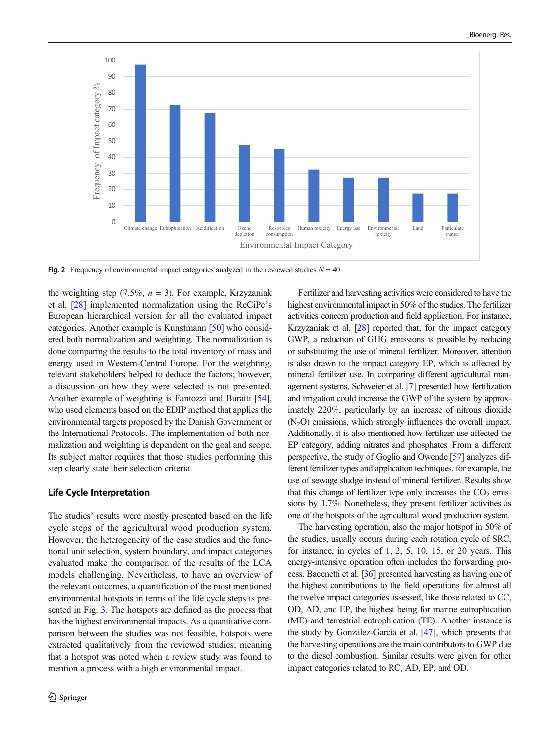<span id="page-11-0"></span>

Fig. 2 Frequency of environmental impact categories analyzed in the reviewed studies  $N = 40$ 

the weighting step (7.5%,  $n = 3$ ). For example, Krzyżaniak et al. [[28\]](#page-16-0) implemented normalization using the ReCiPe's European hierarchical version for all the evaluated impact categories. Another example is Kunstmann [\[50](#page-17-0)] who considered both normalization and weighting. The normalization is done comparing the results to the total inventory of mass and energy used in Western-Central Europe. For the weighting, relevant stakeholders helped to deduce the factors; however, a discussion on how they were selected is not presented. Another example of weighting is Fantozzi and Buratti [[54\]](#page-17-0), who used elements based on the EDIP method that applies the environmental targets proposed by the Danish Government or the International Protocols. The implementation of both normalization and weighting is dependent on the goal and scope. Its subject matter requires that those studies performing this step clearly state their selection criteria.

#### Life Cycle Interpretation

The studies' results were mostly presented based on the life cycle steps of the agricultural wood production system. However, the heterogeneity of the case studies and the functional unit selection, system boundary, and impact categories evaluated make the comparison of the results of the LCA models challenging. Nevertheless, to have an overview of the relevant outcomes, a quantification of the most mentioned environmental hotspots in terms of the life cycle steps is presented in Fig. [3](#page-12-0). The hotspots are defined as the process that has the highest environmental impacts. As a quantitative comparison between the studies was not feasible, hotspots were extracted qualitatively from the reviewed studies; meaning that a hotspot was noted when a review study was found to mention a process with a high environmental impact.

Fertilizer and harvesting activities were considered to have the highest environmental impact in 50% of the studies. The fertilizer activities concern production and field application. For instance, Krzyżaniak et al. [\[28\]](#page-16-0) reported that, for the impact category GWP, a reduction of GHG emissions is possible by reducing or substituting the use of mineral fertilizer. Moreover, attention is also drawn to the impact category EP, which is affected by mineral fertilizer use. In comparing different agricultural management systems, Schweier et al. [\[7\]](#page-16-0) presented how fertilization and irrigation could increase the GWP of the system by approximately 220%, particularly by an increase of nitrous dioxide  $(N<sub>2</sub>O)$  emissions, which strongly influences the overall impact. Additionally, it is also mentioned how fertilizer use affected the EP category, adding nitrates and phosphates. From a different perspective, the study of Goglio and Owende [[57\]](#page-17-0) analyzes different fertilizer types and application techniques, for example, the use of sewage sludge instead of mineral fertilizer. Results show that this change of fertilizer type only increases the  $CO<sub>2</sub>$  emissions by 1.7%. Nonetheless, they present fertilizer activities as one of the hotspots of the agricultural wood production system.

The harvesting operation, also the major hotspot in 50% of the studies, usually occurs during each rotation cycle of SRC, for instance, in cycles of 1, 2, 5, 10, 15, or 20 years. This energy-intensive operation often includes the forwarding process. Bacenetti et al. [\[36\]](#page-16-0) presented harvesting as having one of the highest contributions to the field operations for almost all the twelve impact categories assessed, like those related to CC, OD, AD, and EP, the highest being for marine eutrophication (ME) and terrestrial eutrophication (TE). Another instance is the study by González-García et al. [\[47](#page-17-0)], which presents that the harvesting operations are the main contributors to GWP due to the diesel combustion. Similar results were given for other impact categories related to RC, AD, EP, and OD.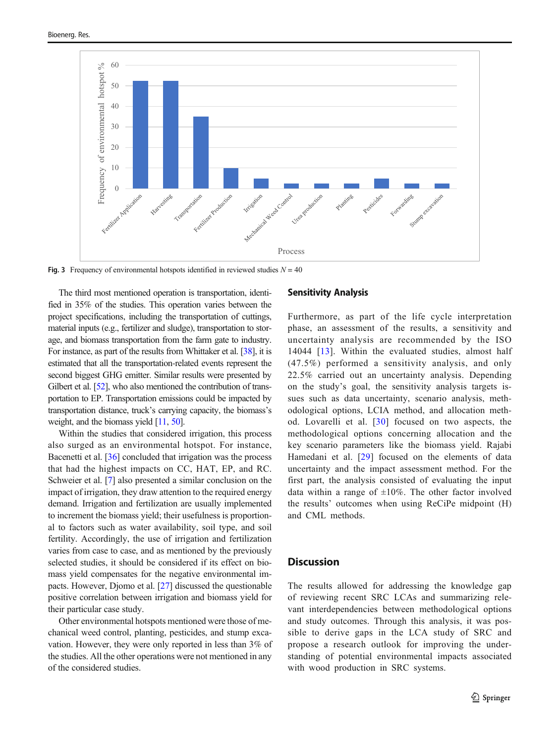<span id="page-12-0"></span>

Fig. 3 Frequency of environmental hotspots identified in reviewed studies  $N = 40$ 

The third most mentioned operation is transportation, identified in 35% of the studies. This operation varies between the project specifications, including the transportation of cuttings, material inputs (e.g., fertilizer and sludge), transportation to storage, and biomass transportation from the farm gate to industry. For instance, as part of the results from Whittaker et al. [\[38](#page-16-0)], it is estimated that all the transportation-related events represent the second biggest GHG emitter. Similar results were presented by Gilbert et al. [\[52\]](#page-17-0), who also mentioned the contribution of transportation to EP. Transportation emissions could be impacted by transportation distance, truck's carrying capacity, the biomass's weight, and the biomass yield [\[11](#page-16-0), [50\]](#page-17-0).

Within the studies that considered irrigation, this process also surged as an environmental hotspot. For instance, Bacenetti et al. [[36](#page-16-0)] concluded that irrigation was the process that had the highest impacts on CC, HAT, EP, and RC. Schweier et al. [[7\]](#page-16-0) also presented a similar conclusion on the impact of irrigation, they draw attention to the required energy demand. Irrigation and fertilization are usually implemented to increment the biomass yield; their usefulness is proportional to factors such as water availability, soil type, and soil fertility. Accordingly, the use of irrigation and fertilization varies from case to case, and as mentioned by the previously selected studies, it should be considered if its effect on biomass yield compensates for the negative environmental impacts. However, Djomo et al. [[27](#page-16-0)] discussed the questionable positive correlation between irrigation and biomass yield for their particular case study.

Other environmental hotspots mentioned were those of mechanical weed control, planting, pesticides, and stump excavation. However, they were only reported in less than 3% of the studies. All the other operations were not mentioned in any of the considered studies.

## Sensitivity Analysis

Furthermore, as part of the life cycle interpretation phase, an assessment of the results, a sensitivity and uncertainty analysis are recommended by the ISO 14044 [[13\]](#page-16-0). Within the evaluated studies, almost half (47.5%) performed a sensitivity analysis, and only 22.5% carried out an uncertainty analysis. Depending on the study's goal, the sensitivity analysis targets issues such as data uncertainty, scenario analysis, methodological options, LCIA method, and allocation method. Lovarelli et al. [[30](#page-16-0)] focused on two aspects, the methodological options concerning allocation and the key scenario parameters like the biomass yield. Rajabi Hamedani et al. [[29](#page-16-0)] focused on the elements of data uncertainty and the impact assessment method. For the first part, the analysis consisted of evaluating the input data within a range of  $\pm 10\%$ . The other factor involved the results' outcomes when using ReCiPe midpoint (H) and CML methods.

## **Discussion**

The results allowed for addressing the knowledge gap of reviewing recent SRC LCAs and summarizing relevant interdependencies between methodological options and study outcomes. Through this analysis, it was possible to derive gaps in the LCA study of SRC and propose a research outlook for improving the understanding of potential environmental impacts associated with wood production in SRC systems.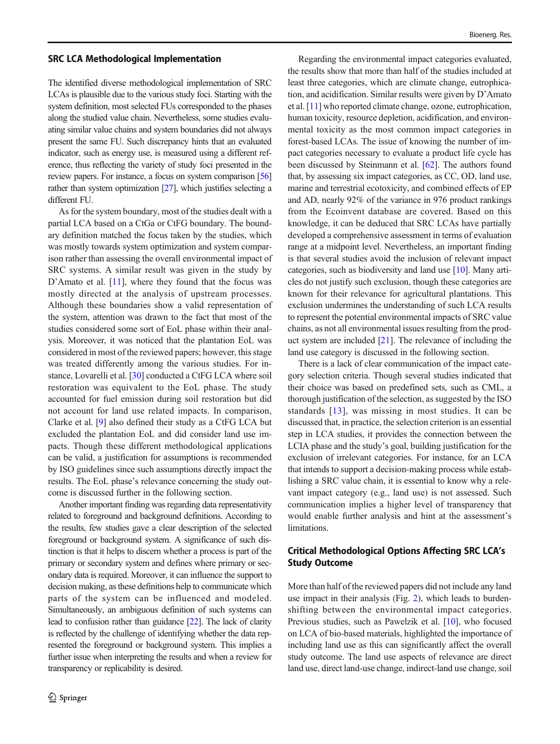#### SRC LCA Methodological Implementation

The identified diverse methodological implementation of SRC LCAs is plausible due to the various study foci. Starting with the system definition, most selected FUs corresponded to the phases along the studied value chain. Nevertheless, some studies evaluating similar value chains and system boundaries did not always present the same FU. Such discrepancy hints that an evaluated indicator, such as energy use, is measured using a different reference, thus reflecting the variety of study foci presented in the review papers. For instance, a focus on system comparison [[56\]](#page-17-0) rather than system optimization [\[27](#page-16-0)], which justifies selecting a different FU.

As for the system boundary, most of the studies dealt with a partial LCA based on a CtGa or CtFG boundary. The boundary definition matched the focus taken by the studies, which was mostly towards system optimization and system comparison rather than assessing the overall environmental impact of SRC systems. A similar result was given in the study by D'Amato et al. [\[11](#page-16-0)], where they found that the focus was mostly directed at the analysis of upstream processes. Although these boundaries show a valid representation of the system, attention was drawn to the fact that most of the studies considered some sort of EoL phase within their analysis. Moreover, it was noticed that the plantation EoL was considered in most of the reviewed papers; however, this stage was treated differently among the various studies. For instance, Lovarelli et al. [\[30](#page-16-0)] conducted a CtFG LCA where soil restoration was equivalent to the EoL phase. The study accounted for fuel emission during soil restoration but did not account for land use related impacts. In comparison, Clarke et al. [\[9\]](#page-16-0) also defined their study as a CtFG LCA but excluded the plantation EoL and did consider land use impacts. Though these different methodological applications can be valid, a justification for assumptions is recommended by ISO guidelines since such assumptions directly impact the results. The EoL phase's relevance concerning the study outcome is discussed further in the following section.

Another important finding was regarding data representativity related to foreground and background definitions. According to the results, few studies gave a clear description of the selected foreground or background system. A significance of such distinction is that it helps to discern whether a process is part of the primary or secondary system and defines where primary or secondary data is required. Moreover, it can influence the support to decision making, as these definitions help to communicate which parts of the system can be influenced and modeled. Simultaneously, an ambiguous definition of such systems can lead to confusion rather than guidance [[22](#page-16-0)]. The lack of clarity is reflected by the challenge of identifying whether the data represented the foreground or background system. This implies a further issue when interpreting the results and when a review for transparency or replicability is desired.

Regarding the environmental impact categories evaluated, the results show that more than half of the studies included at least three categories, which are climate change, eutrophication, and acidification. Similar results were given by D'Amato et al. [\[11\]](#page-16-0) who reported climate change, ozone, eutrophication, human toxicity, resource depletion, acidification, and environmental toxicity as the most common impact categories in forest-based LCAs. The issue of knowing the number of impact categories necessary to evaluate a product life cycle has been discussed by Steinmann et al. [\[62](#page-17-0)]. The authors found that, by assessing six impact categories, as CC, OD, land use, marine and terrestrial ecotoxicity, and combined effects of EP and AD, nearly 92% of the variance in 976 product rankings from the Ecoinvent database are covered. Based on this knowledge, it can be deduced that SRC LCAs have partially developed a comprehensive assessment in terms of evaluation range at a midpoint level. Nevertheless, an important finding is that several studies avoid the inclusion of relevant impact categories, such as biodiversity and land use [\[10\]](#page-16-0). Many articles do not justify such exclusion, though these categories are known for their relevance for agricultural plantations. This exclusion undermines the understanding of such LCA results to represent the potential environmental impacts of SRC value chains, as not all environmental issues resulting from the product system are included [\[21\]](#page-16-0). The relevance of including the land use category is discussed in the following section.

There is a lack of clear communication of the impact category selection criteria. Though several studies indicated that their choice was based on predefined sets, such as CML, a thorough justification of the selection, as suggested by the ISO standards [[13](#page-16-0)], was missing in most studies. It can be discussed that, in practice, the selection criterion is an essential step in LCA studies, it provides the connection between the LCIA phase and the study's goal, building justification for the exclusion of irrelevant categories. For instance, for an LCA that intends to support a decision-making process while establishing a SRC value chain, it is essential to know why a relevant impact category (e.g., land use) is not assessed. Such communication implies a higher level of transparency that would enable further analysis and hint at the assessment's limitations.

## Critical Methodological Options Affecting SRC LCA's Study Outcome

More than half of the reviewed papers did not include any land use impact in their analysis (Fig. [2](#page-11-0)), which leads to burdenshifting between the environmental impact categories. Previous studies, such as Pawelzik et al. [[10](#page-16-0)], who focused on LCA of bio-based materials, highlighted the importance of including land use as this can significantly affect the overall study outcome. The land use aspects of relevance are direct land use, direct land-use change, indirect-land use change, soil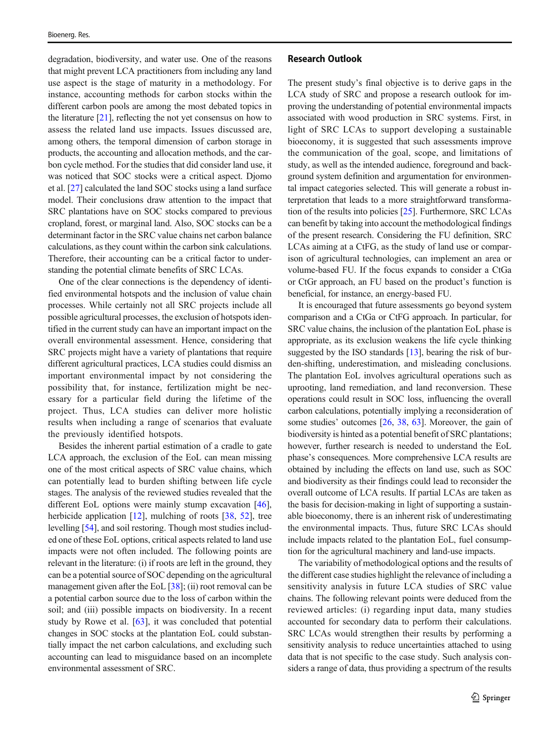degradation, biodiversity, and water use. One of the reasons that might prevent LCA practitioners from including any land use aspect is the stage of maturity in a methodology. For instance, accounting methods for carbon stocks within the different carbon pools are among the most debated topics in the literature  $[21]$  $[21]$ , reflecting the not yet consensus on how to assess the related land use impacts. Issues discussed are, among others, the temporal dimension of carbon storage in products, the accounting and allocation methods, and the carbon cycle method. For the studies that did consider land use, it was noticed that SOC stocks were a critical aspect. Djomo et al. [\[27\]](#page-16-0) calculated the land SOC stocks using a land surface model. Their conclusions draw attention to the impact that SRC plantations have on SOC stocks compared to previous cropland, forest, or marginal land. Also, SOC stocks can be a determinant factor in the SRC value chains net carbon balance calculations, as they count within the carbon sink calculations. Therefore, their accounting can be a critical factor to understanding the potential climate benefits of SRC LCAs.

One of the clear connections is the dependency of identified environmental hotspots and the inclusion of value chain processes. While certainly not all SRC projects include all possible agricultural processes, the exclusion of hotspots identified in the current study can have an important impact on the overall environmental assessment. Hence, considering that SRC projects might have a variety of plantations that require different agricultural practices, LCA studies could dismiss an important environmental impact by not considering the possibility that, for instance, fertilization might be necessary for a particular field during the lifetime of the project. Thus, LCA studies can deliver more holistic results when including a range of scenarios that evaluate the previously identified hotspots.

Besides the inherent partial estimation of a cradle to gate LCA approach, the exclusion of the EoL can mean missing one of the most critical aspects of SRC value chains, which can potentially lead to burden shifting between life cycle stages. The analysis of the reviewed studies revealed that the different EoL options were mainly stump excavation [\[46](#page-17-0)], herbicide application [\[12](#page-16-0)], mulching of roots [\[38](#page-16-0), [52](#page-17-0)], tree levelling [\[54\]](#page-17-0), and soil restoring. Though most studies included one of these EoL options, critical aspects related to land use impacts were not often included. The following points are relevant in the literature: (i) if roots are left in the ground, they can be a potential source of SOC depending on the agricultural management given after the EoL [[38\]](#page-16-0); (ii) root removal can be a potential carbon source due to the loss of carbon within the soil; and (iii) possible impacts on biodiversity. In a recent study by Rowe et al. [\[63](#page-17-0)], it was concluded that potential changes in SOC stocks at the plantation EoL could substantially impact the net carbon calculations, and excluding such accounting can lead to misguidance based on an incomplete environmental assessment of SRC.

The present study's final objective is to derive gaps in the LCA study of SRC and propose a research outlook for improving the understanding of potential environmental impacts associated with wood production in SRC systems. First, in light of SRC LCAs to support developing a sustainable bioeconomy, it is suggested that such assessments improve the communication of the goal, scope, and limitations of study, as well as the intended audience, foreground and background system definition and argumentation for environmental impact categories selected. This will generate a robust interpretation that leads to a more straightforward transformation of the results into policies [\[25\]](#page-16-0). Furthermore, SRC LCAs can benefit by taking into account the methodological findings of the present research. Considering the FU definition, SRC LCAs aiming at a CtFG, as the study of land use or comparison of agricultural technologies, can implement an area or volume-based FU. If the focus expands to consider a CtGa or CtGr approach, an FU based on the product's function is beneficial, for instance, an energy-based FU.

It is encouraged that future assessments go beyond system comparison and a CtGa or CtFG approach. In particular, for SRC value chains, the inclusion of the plantation EoL phase is appropriate, as its exclusion weakens the life cycle thinking suggested by the ISO standards [\[13](#page-16-0)], bearing the risk of burden-shifting, underestimation, and misleading conclusions. The plantation EoL involves agricultural operations such as uprooting, land remediation, and land reconversion. These operations could result in SOC loss, influencing the overall carbon calculations, potentially implying a reconsideration of some studies' outcomes [\[26,](#page-16-0) [38](#page-16-0), [63\]](#page-17-0). Moreover, the gain of biodiversity is hinted as a potential benefit of SRC plantations; however, further research is needed to understand the EoL phase's consequences. More comprehensive LCA results are obtained by including the effects on land use, such as SOC and biodiversity as their findings could lead to reconsider the overall outcome of LCA results. If partial LCAs are taken as the basis for decision-making in light of supporting a sustainable bioeconomy, there is an inherent risk of underestimating the environmental impacts. Thus, future SRC LCAs should include impacts related to the plantation EoL, fuel consumption for the agricultural machinery and land-use impacts.

The variability of methodological options and the results of the different case studies highlight the relevance of including a sensitivity analysis in future LCA studies of SRC value chains. The following relevant points were deduced from the reviewed articles: (i) regarding input data, many studies accounted for secondary data to perform their calculations. SRC LCAs would strengthen their results by performing a sensitivity analysis to reduce uncertainties attached to using data that is not specific to the case study. Such analysis considers a range of data, thus providing a spectrum of the results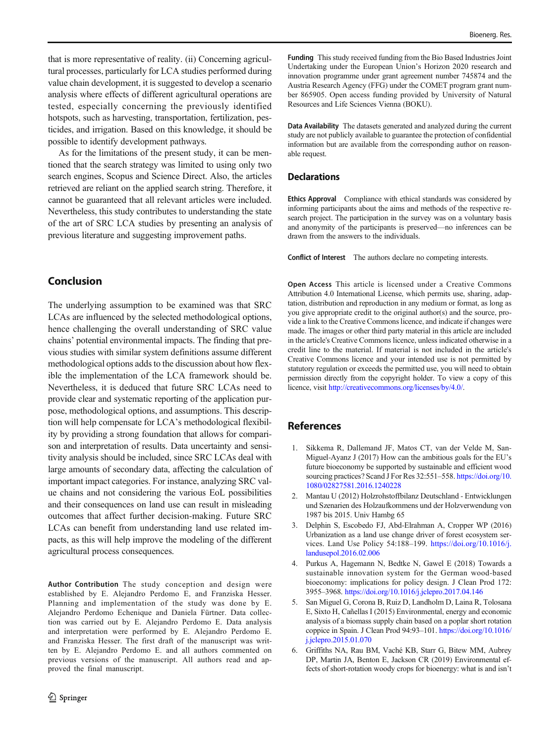<span id="page-15-0"></span>that is more representative of reality. (ii) Concerning agricultural processes, particularly for LCA studies performed during value chain development, it is suggested to develop a scenario analysis where effects of different agricultural operations are tested, especially concerning the previously identified hotspots, such as harvesting, transportation, fertilization, pesticides, and irrigation. Based on this knowledge, it should be possible to identify development pathways.

As for the limitations of the present study, it can be mentioned that the search strategy was limited to using only two search engines, Scopus and Science Direct. Also, the articles retrieved are reliant on the applied search string. Therefore, it cannot be guaranteed that all relevant articles were included. Nevertheless, this study contributes to understanding the state of the art of SRC LCA studies by presenting an analysis of previous literature and suggesting improvement paths.

# Conclusion

The underlying assumption to be examined was that SRC LCAs are influenced by the selected methodological options, hence challenging the overall understanding of SRC value chains' potential environmental impacts. The finding that previous studies with similar system definitions assume different methodological options adds to the discussion about how flexible the implementation of the LCA framework should be. Nevertheless, it is deduced that future SRC LCAs need to provide clear and systematic reporting of the application purpose, methodological options, and assumptions. This description will help compensate for LCA's methodological flexibility by providing a strong foundation that allows for comparison and interpretation of results. Data uncertainty and sensitivity analysis should be included, since SRC LCAs deal with large amounts of secondary data, affecting the calculation of important impact categories. For instance, analyzing SRC value chains and not considering the various EoL possibilities and their consequences on land use can result in misleading outcomes that affect further decision-making. Future SRC LCAs can benefit from understanding land use related impacts, as this will help improve the modeling of the different agricultural process consequences.

Author Contribution The study conception and design were established by E. Alejandro Perdomo E, and Franziska Hesser. Planning and implementation of the study was done by E. Alejandro Perdomo Echenique and Daniela Fürtner. Data collection was carried out by E. Alejandro Perdomo E. Data analysis and interpretation were performed by E. Alejandro Perdomo E. and Franziska Hesser. The first draft of the manuscript was written by E. Alejandro Perdomo E. and all authors commented on previous versions of the manuscript. All authors read and approved the final manuscript.

Funding This study received funding from the Bio Based Industries Joint Undertaking under the European Union's Horizon 2020 research and innovation programme under grant agreement number 745874 and the Austria Research Agency (FFG) under the COMET program grant number 865905. Open access funding provided by University of Natural Resources and Life Sciences Vienna (BOKU).

Data Availability The datasets generated and analyzed during the current study are not publicly available to guarantee the protection of confidential information but are available from the corresponding author on reasonable request.

#### **Declarations**

Ethics Approval Compliance with ethical standards was considered by informing participants about the aims and methods of the respective research project. The participation in the survey was on a voluntary basis and anonymity of the participants is preserved—no inferences can be drawn from the answers to the individuals.

Conflict of Interest The authors declare no competing interests.

Open Access This article is licensed under a Creative Commons Attribution 4.0 International License, which permits use, sharing, adaptation, distribution and reproduction in any medium or format, as long as you give appropriate credit to the original author(s) and the source, provide a link to the Creative Commons licence, and indicate if changes were made. The images or other third party material in this article are included in the article's Creative Commons licence, unless indicated otherwise in a credit line to the material. If material is not included in the article's Creative Commons licence and your intended use is not permitted by statutory regulation or exceeds the permitted use, you will need to obtain permission directly from the copyright holder. To view a copy of this licence, visit <http://creativecommons.org/licenses/by/4.0/>.

# References

- 1. Sikkema R, Dallemand JF, Matos CT, van der Velde M, San-Miguel-Ayanz J (2017) How can the ambitious goals for the EU's future bioeconomy be supported by sustainable and efficient wood sourcing practices? Scand J For Res 32:551-558. [https://doi.org/10.](https://doi.org/10.1080/02827581.2016.1240228) [1080/02827581.2016.1240228](https://doi.org/10.1080/02827581.2016.1240228)
- 2. Mantau U (2012) Holzrohstoffbilanz Deutschland Entwicklungen und Szenarien des Holzaufkommens und der Holzverwendung von 1987 bis 2015. Univ Hambg 65
- 3. Delphin S, Escobedo FJ, Abd-Elrahman A, Cropper WP (2016) Urbanization as a land use change driver of forest ecosystem services. Land Use Policy 54:188–199. [https://doi.org/10.1016/j.](https://doi.org/10.1016/j.landusepol.2016.02.006) [landusepol.2016.02.006](https://doi.org/10.1016/j.landusepol.2016.02.006)
- 4. Purkus A, Hagemann N, Bedtke N, Gawel E (2018) Towards a sustainable innovation system for the German wood-based bioeconomy: implications for policy design. J Clean Prod 172: 3955–3968. <https://doi.org/10.1016/j.jclepro.2017.04.146>
- 5. San Miguel G, Corona B, Ruiz D, Landholm D, Laina R, Tolosana E, Sixto H, Cañellas I (2015) Environmental, energy and economic analysis of a biomass supply chain based on a poplar short rotation coppice in Spain. J Clean Prod 94:93–101. [https://doi.org/10.1016/](https://doi.org/10.1016/j.jclepro.2015.01.070) [j.jclepro.2015.01.070](https://doi.org/10.1016/j.jclepro.2015.01.070)
- 6. Griffiths NA, Rau BM, Vaché KB, Starr G, Bitew MM, Aubrey DP, Martin JA, Benton E, Jackson CR (2019) Environmental effects of short-rotation woody crops for bioenergy: what is and isn't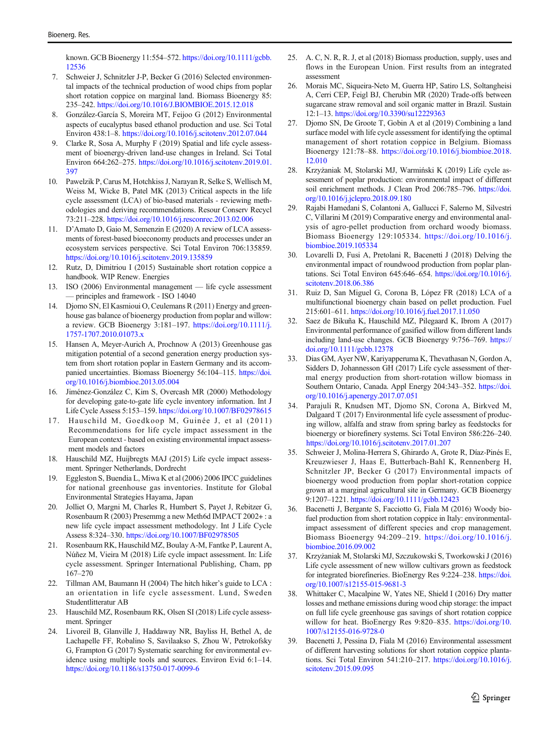<span id="page-16-0"></span>known. GCB Bioenergy 11:554–572. [https://doi.org/10.1111/gcbb.](https://doi.org/10.1111/gcbb.12536) [12536](https://doi.org/10.1111/gcbb.12536)

- 7. Schweier J, Schnitzler J-P, Becker G (2016) Selected environmental impacts of the technical production of wood chips from poplar short rotation coppice on marginal land. Biomass Bioenergy 85: 235–242. <https://doi.org/10.1016/J.BIOMBIOE.2015.12.018>
- 8. González-García S, Moreira MT, Feijoo G (2012) Environmental aspects of eucalyptus based ethanol production and use. Sci Total Environ 438:1–8. <https://doi.org/10.1016/j.scitotenv.2012.07.044>
- Clarke R, Sosa A, Murphy F (2019) Spatial and life cycle assessment of bioenergy-driven land-use changes in Ireland. Sci Total Environ 664:262–275. [https://doi.org/10.1016/j.scitotenv.2019.01.](https://doi.org/10.1016/j.scitotenv.2019.01.397) [397](https://doi.org/10.1016/j.scitotenv.2019.01.397)
- 10. Pawelzik P, Carus M, Hotchkiss J, Narayan R, Selke S, Wellisch M, Weiss M, Wicke B, Patel MK (2013) Critical aspects in the life cycle assessment (LCA) of bio-based materials - reviewing methodologies and deriving recommendations. Resour Conserv Recycl 73:211–228. <https://doi.org/10.1016/j.resconrec.2013.02.006>
- 11. D'Amato D, Gaio M, Semenzin E (2020) A review of LCA assessments of forest-based bioeconomy products and processes under an ecosystem services perspective. Sci Total Environ 706:135859. <https://doi.org/10.1016/j.scitotenv.2019.135859>
- 12. Rutz, D, Dimitriou I (2015) Sustainable short rotation coppice a handbook. WIP Renew. Energies
- 13. ISO (2006) Environmental management life cycle assessment — principles and framework - ISO 14040
- 14. Djomo SN, El Kasmioui O, Ceulemans R (2011) Energy and greenhouse gas balance of bioenergy production from poplar and willow: a review. GCB Bioenergy 3:181–197. [https://doi.org/10.1111/j.](https://doi.org/10.1111/j.1757-1707.2010.01073.x) [1757-1707.2010.01073.x](https://doi.org/10.1111/j.1757-1707.2010.01073.x)
- 15. Hansen A, Meyer-Aurich A, Prochnow A (2013) Greenhouse gas mitigation potential of a second generation energy production system from short rotation poplar in Eastern Germany and its accompanied uncertainties. Biomass Bioenergy 56:104–115. [https://doi.](https://doi.org/10.1016/j.biombioe.2013.05.004) [org/10.1016/j.biombioe.2013.05.004](https://doi.org/10.1016/j.biombioe.2013.05.004)
- 16. Jiménez-González C, Kim S, Overcash MR (2000) Methodology for developing gate-to-gate life cycle inventory information. Int J Life Cycle Assess 5:153–159. <https://doi.org/10.1007/BF02978615>
- 17. Hauschild M, Goedkoop M, Guinée J, et al (2011) Recommendations for life cycle impact assessment in the European context - based on existing environmental impact assessment models and factors
- 18. Hauschild MZ, Huijbregts MAJ (2015) Life cycle impact assessment. Springer Netherlands, Dordrecht
- 19. Eggleston S, Buendia L, Miwa K et al (2006) 2006 IPCC guidelines for national greenhouse gas inventories. Institute for Global Environmental Strategies Hayama, Japan
- 20. Jolliet O, Margni M, Charles R, Humbert S, Payet J, Rebitzer G, Rosenbaum R (2003) Presemmg a new Meth6d IMPACT 2002+ : a new life cycle impact assessment methodology. Int J Life Cycle Assess 8:324–330. <https://doi.org/10.1007/BF02978505>
- 21. Rosenbaum RK, Hauschild MZ, Boulay A-M, Fantke P, Laurent A, Núñez M, Vieira M (2018) Life cycle impact assessment. In: Life cycle assessment. Springer International Publishing, Cham, pp 167–270
- 22. Tillman AM, Baumann H (2004) The hitch hiker's guide to LCA : an orientation in life cycle assessment. Lund, Sweden Studentlitteratur AB
- 23. Hauschild MZ, Rosenbaum RK, Olsen SI (2018) Life cycle assessment. Springer
- 24. Livoreil B, Glanville J, Haddaway NR, Bayliss H, Bethel A, de Lachapelle FF, Robalino S, Savilaakso S, Zhou W, Petrokofsky G, Frampton G (2017) Systematic searching for environmental evidence using multiple tools and sources. Environ Evid 6:1–14. <https://doi.org/10.1186/s13750-017-0099-6>
- 25. A. C, N. R, R. J, et al (2018) Biomass production, supply, uses and flows in the European Union. First results from an integrated assessment
- 26. Morais MC, Siqueira-Neto M, Guerra HP, Satiro LS, Soltangheisi A, Cerri CEP, Feigl BJ, Cherubin MR (2020) Trade-offs between sugarcane straw removal and soil organic matter in Brazil. Sustain 12:1–13. <https://doi.org/10.3390/su12229363>
- 27. Djomo SN, De Groote T, Gobin A et al (2019) Combining a land surface model with life cycle assessment for identifying the optimal management of short rotation coppice in Belgium. Biomass Bioenergy 121:78–88. [https://doi.org/10.1016/j.biombioe.2018.](https://doi.org/10.1016/j.biombioe.2018.12.010) [12.010](https://doi.org/10.1016/j.biombioe.2018.12.010)
- 28. Krzyżaniak M, Stolarski MJ, Warmiński K (2019) Life cycle assessment of poplar production: environmental impact of different soil enrichment methods. J Clean Prod 206:785-796. [https://doi.](https://doi.org/10.1016/j.jclepro.2018.09.180) [org/10.1016/j.jclepro.2018.09.180](https://doi.org/10.1016/j.jclepro.2018.09.180)
- 29. Rajabi Hamedani S, Colantoni A, Gallucci F, Salerno M, Silvestri C, Villarini M (2019) Comparative energy and environmental analysis of agro-pellet production from orchard woody biomass. Biomass Bioenergy 129:105334. [https://doi.org/10.1016/j.](https://doi.org/10.1016/j.biombioe.2019.105334) [biombioe.2019.105334](https://doi.org/10.1016/j.biombioe.2019.105334)
- 30. Lovarelli D, Fusi A, Pretolani R, Bacenetti J (2018) Delving the environmental impact of roundwood production from poplar plantations. Sci Total Environ 645:646–654. [https://doi.org/10.1016/j.](https://doi.org/10.1016/j.scitotenv.2018.06.386) [scitotenv.2018.06.386](https://doi.org/10.1016/j.scitotenv.2018.06.386)
- 31. Ruiz D, San Miguel G, Corona B, López FR (2018) LCA of a multifunctional bioenergy chain based on pellet production. Fuel 215:601–611. <https://doi.org/10.1016/j.fuel.2017.11.050>
- 32. Saez de Bikuña K, Hauschild MZ, Pilegaard K, Ibrom A (2017) Environmental performance of gasified willow from different lands including land-use changes. GCB Bioenergy 9:756–769. [https://](https://doi.org/10.1111/gcbb.12378) [doi.org/10.1111/gcbb.12378](https://doi.org/10.1111/gcbb.12378)
- 33. Dias GM, Ayer NW, Kariyapperuma K, Thevathasan N, Gordon A, Sidders D, Johannesson GH (2017) Life cycle assessment of thermal energy production from short-rotation willow biomass in Southern Ontario, Canada. Appl Energy 204:343–352. [https://doi.](https://doi.org/10.1016/j.apenergy.2017.07.051) [org/10.1016/j.apenergy.2017.07.051](https://doi.org/10.1016/j.apenergy.2017.07.051)
- 34. Parajuli R, Knudsen MT, Djomo SN, Corona A, Birkved M, Dalgaard T (2017) Environmental life cycle assessment of producing willow, alfalfa and straw from spring barley as feedstocks for bioenergy or biorefinery systems. Sci Total Environ 586:226–240. <https://doi.org/10.1016/j.scitotenv.2017.01.207>
- 35. Schweier J, Molina-Herrera S, Ghirardo A, Grote R, Díaz-Pinés E, Kreuzwieser J, Haas E, Butterbach-Bahl K, Rennenberg H, Schnitzler JP, Becker G (2017) Environmental impacts of bioenergy wood production from poplar short-rotation coppice grown at a marginal agricultural site in Germany. GCB Bioenergy 9:1207–1221. <https://doi.org/10.1111/gcbb.12423>
- 36. Bacenetti J, Bergante S, Facciotto G, Fiala M (2016) Woody biofuel production from short rotation coppice in Italy: environmentalimpact assessment of different species and crop management. Biomass Bioenergy 94:209–219. [https://doi.org/10.1016/j.](https://doi.org/10.1016/j.biombioe.2016.09.002) [biombioe.2016.09.002](https://doi.org/10.1016/j.biombioe.2016.09.002)
- 37. Krzyżaniak M, Stolarski MJ, Szczukowski S, Tworkowski J (2016) Life cycle assessment of new willow cultivars grown as feedstock for integrated biorefineries. BioEnergy Res 9:224–238. [https://doi.](https://doi.org/10.1007/s12155-015-9681-3) [org/10.1007/s12155-015-9681-3](https://doi.org/10.1007/s12155-015-9681-3)
- 38. Whittaker C, Macalpine W, Yates NE, Shield I (2016) Dry matter losses and methane emissions during wood chip storage: the impact on full life cycle greenhouse gas savings of short rotation coppice willow for heat. BioEnergy Res 9:820–835. [https://doi.org/10.](https://doi.org/10.1007/s12155-016-9728-0) [1007/s12155-016-9728-0](https://doi.org/10.1007/s12155-016-9728-0)
- 39. Bacenetti J, Pessina D, Fiala M (2016) Environmental assessment of different harvesting solutions for short rotation coppice plantations. Sci Total Environ 541:210–217. [https://doi.org/10.1016/j.](https://doi.org/10.1016/j.scitotenv.2015.09.095) [scitotenv.2015.09.095](https://doi.org/10.1016/j.scitotenv.2015.09.095)